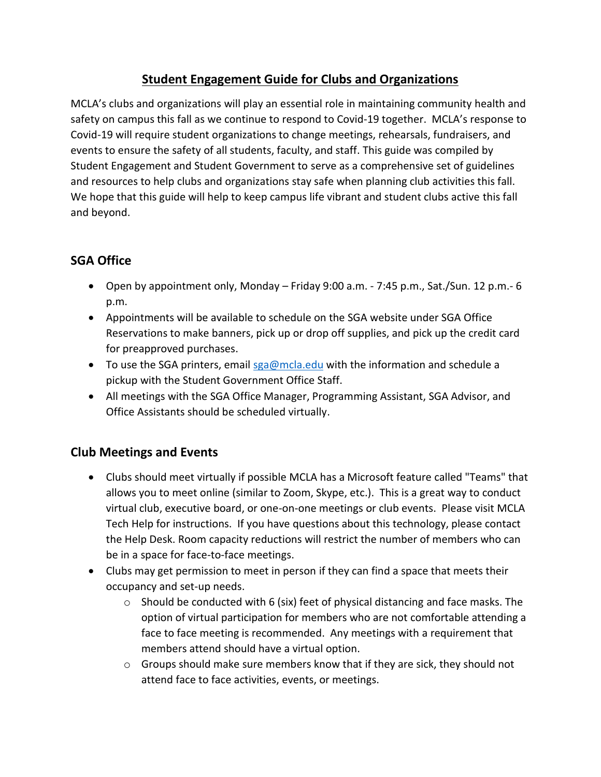## **Student Engagement Guide for Clubs and Organizations**

MCLA's clubs and organizations will play an essential role in maintaining community health and safety on campus this fall as we continue to respond to Covid-19 together. MCLA's response to Covid-19 will require student organizations to change meetings, rehearsals, fundraisers, and events to ensure the safety of all students, faculty, and staff. This guide was compiled by Student Engagement and Student Government to serve as a comprehensive set of guidelines and resources to help clubs and organizations stay safe when planning club activities this fall. We hope that this guide will help to keep campus life vibrant and student clubs active this fall and beyond.

# **SGA Office**

- Open by appointment only, Monday Friday 9:00 a.m. 7:45 p.m., Sat./Sun. 12 p.m.- 6 p.m.
- Appointments will be available to schedule on the SGA website under SGA Office Reservations to make banners, pick up or drop off supplies, and pick up the credit card for preapproved purchases.
- $\bullet$  To use the SGA printers, email [sga@mcla.edu](mailto:sga@mcla.edu) with the information and schedule a pickup with the Student Government Office Staff.
- All meetings with the SGA Office Manager, Programming Assistant, SGA Advisor, and Office Assistants should be scheduled virtually.

## **Club Meetings and Events**

- Clubs should meet virtually if possible MCLA has a Microsoft feature called "Teams" that allows you to meet online (similar to Zoom, Skype, etc.). This is a great way to conduct virtual club, executive board, or one-on-one meetings or club events. Please visit MCLA Tech Help for instructions. If you have questions about this technology, please contact the Help Desk. Room capacity reductions will restrict the number of members who can be in a space for face-to-face meetings.
- Clubs may get permission to meet in person if they can find a space that meets their occupancy and set-up needs.
	- $\circ$  Should be conducted with 6 (six) feet of physical distancing and face masks. The option of virtual participation for members who are not comfortable attending a face to face meeting is recommended. Any meetings with a requirement that members attend should have a virtual option.
	- $\circ$  Groups should make sure members know that if they are sick, they should not attend face to face activities, events, or meetings.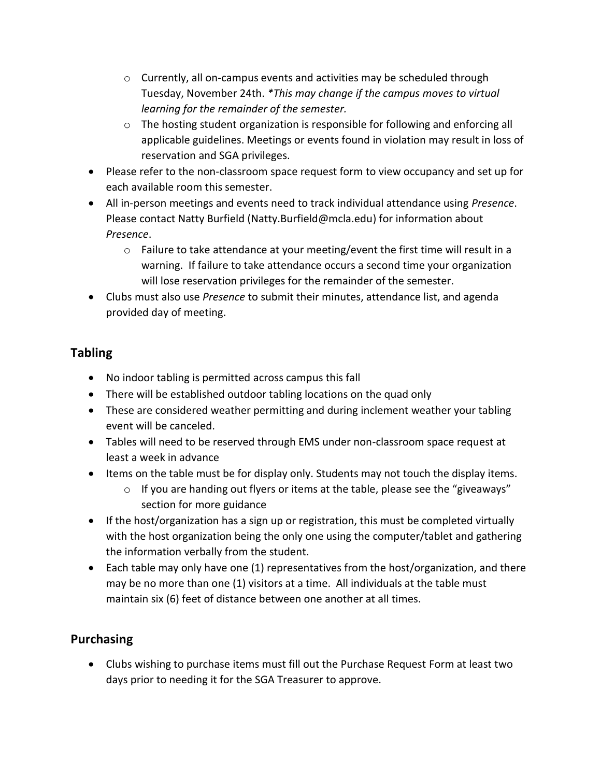- $\circ$  Currently, all on-campus events and activities may be scheduled through Tuesday, November 24th. *\*This may change if the campus moves to virtual learning for the remainder of the semester.*
- o The hosting student organization is responsible for following and enforcing all applicable guidelines. Meetings or events found in violation may result in loss of reservation and SGA privileges.
- Please refer to the non-classroom space request form to view occupancy and set up for each available room this semester.
- All in-person meetings and events need to track individual attendance using *Presence*. Please contact Natty Burfield (Natty.Burfield@mcla.edu) for information about *Presence*.
	- $\circ$  Failure to take attendance at your meeting/event the first time will result in a warning. If failure to take attendance occurs a second time your organization will lose reservation privileges for the remainder of the semester.
- Clubs must also use *Presence* to submit their minutes, attendance list, and agenda provided day of meeting.

## **Tabling**

- No indoor tabling is permitted across campus this fall
- There will be established outdoor tabling locations on the quad only
- These are considered weather permitting and during inclement weather your tabling event will be canceled.
- Tables will need to be reserved through EMS under non-classroom space request at least a week in advance
- Items on the table must be for display only. Students may not touch the display items.
	- $\circ$  If you are handing out flyers or items at the table, please see the "giveaways" section for more guidance
- If the host/organization has a sign up or registration, this must be completed virtually with the host organization being the only one using the computer/tablet and gathering the information verbally from the student.
- Each table may only have one (1) representatives from the host/organization, and there may be no more than one (1) visitors at a time. All individuals at the table must maintain six (6) feet of distance between one another at all times.

## **Purchasing**

 Clubs wishing to purchase items must fill out the Purchase Request Form at least two days prior to needing it for the SGA Treasurer to approve.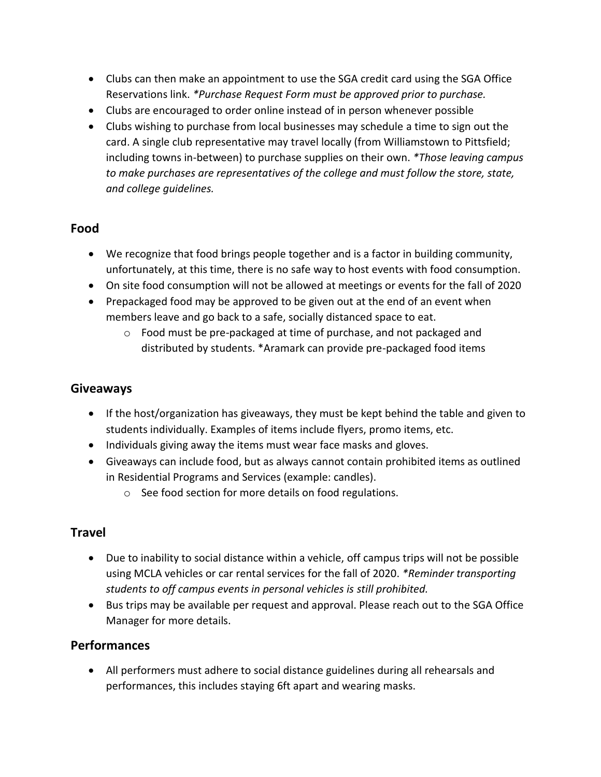- Clubs can then make an appointment to use the SGA credit card using the SGA Office Reservations link. *\*Purchase Request Form must be approved prior to purchase.*
- Clubs are encouraged to order online instead of in person whenever possible
- Clubs wishing to purchase from local businesses may schedule a time to sign out the card. A single club representative may travel locally (from Williamstown to Pittsfield; including towns in-between) to purchase supplies on their own. *\*Those leaving campus to make purchases are representatives of the college and must follow the store, state, and college guidelines.*

### **Food**

- We recognize that food brings people together and is a factor in building community, unfortunately, at this time, there is no safe way to host events with food consumption.
- On site food consumption will not be allowed at meetings or events for the fall of 2020
- Prepackaged food may be approved to be given out at the end of an event when members leave and go back to a safe, socially distanced space to eat.
	- o Food must be pre-packaged at time of purchase, and not packaged and distributed by students. \*Aramark can provide pre-packaged food items

#### **Giveaways**

- If the host/organization has giveaways, they must be kept behind the table and given to students individually. Examples of items include flyers, promo items, etc.
- Individuals giving away the items must wear face masks and gloves.
- Giveaways can include food, but as always cannot contain prohibited items as outlined in Residential Programs and Services (example: candles).
	- o See food section for more details on food regulations.

#### **Travel**

- Due to inability to social distance within a vehicle, off campus trips will not be possible using MCLA vehicles or car rental services for the fall of 2020. *\*Reminder transporting students to off campus events in personal vehicles is still prohibited.*
- Bus trips may be available per request and approval. Please reach out to the SGA Office Manager for more details.

#### **Performances**

 All performers must adhere to social distance guidelines during all rehearsals and performances, this includes staying 6ft apart and wearing masks.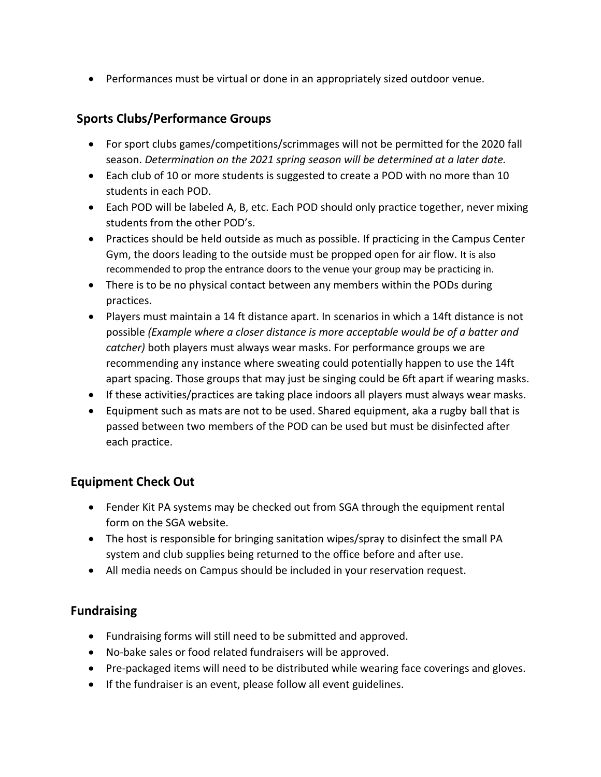Performances must be virtual or done in an appropriately sized outdoor venue.

#### **Sports Clubs/Performance Groups**

- For sport clubs games/competitions/scrimmages will not be permitted for the 2020 fall season. *Determination on the 2021 spring season will be determined at a later date.*
- Each club of 10 or more students is suggested to create a POD with no more than 10 students in each POD.
- Each POD will be labeled A, B, etc. Each POD should only practice together, never mixing students from the other POD's.
- Practices should be held outside as much as possible. If practicing in the Campus Center Gym, the doors leading to the outside must be propped open for air flow. It is also recommended to prop the entrance doors to the venue your group may be practicing in.
- There is to be no physical contact between any members within the PODs during practices.
- Players must maintain a 14 ft distance apart. In scenarios in which a 14ft distance is not possible *(Example where a closer distance is more acceptable would be of a batter and catcher)* both players must always wear masks. For performance groups we are recommending any instance where sweating could potentially happen to use the 14ft apart spacing. Those groups that may just be singing could be 6ft apart if wearing masks.
- If these activities/practices are taking place indoors all players must always wear masks.
- Equipment such as mats are not to be used. Shared equipment, aka a rugby ball that is passed between two members of the POD can be used but must be disinfected after each practice.

#### **Equipment Check Out**

- Fender Kit PA systems may be checked out from SGA through the equipment rental form on the SGA website.
- The host is responsible for bringing sanitation wipes/spray to disinfect the small PA system and club supplies being returned to the office before and after use.
- All media needs on Campus should be included in your reservation request.

#### **Fundraising**

- Fundraising forms will still need to be submitted and approved.
- No-bake sales or food related fundraisers will be approved.
- Pre-packaged items will need to be distributed while wearing face coverings and gloves.
- If the fundraiser is an event, please follow all event guidelines.